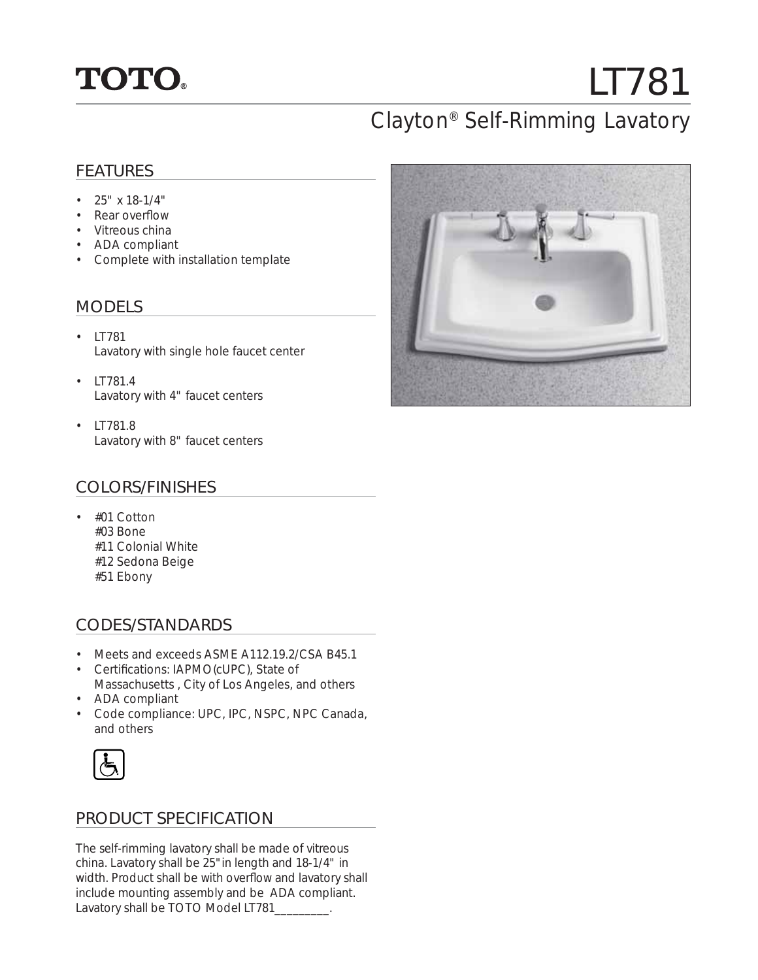

# LT781

## Clayton® Self-Rimming Lavatory

#### FEATURES

- $25" \times 18-1/4"$
- Rear overflow
- Vitreous china
- ADA compliant
- Complete with installation template

#### MODELS

- LT781 Lavatory with single hole faucet center
- LT781.4 Lavatory with 4" faucet centers
- LT781.8 Lavatory with 8" faucet centers

#### COLORS/FINISHES

• #01 Cotton #03 Bone #11 Colonial White #12 Sedona Beige #51 Ebony

#### CODES/STANDARDS

- Meets and exceeds ASME A112.19.2/CSA B45.1
- Certifications: IAPMO(cUPC), State of Massachusetts , City of Los Angeles, and others
- ADA compliant
- Code compliance: UPC, IPC, NSPC, NPC Canada, and others



#### PRODUCT SPECIFICATION

The self-rimming lavatory shall be made of vitreous china. Lavatory shall be 25"in length and 18-1/4" in width. Product shall be with overflow and lavatory shall include mounting assembly and be ADA compliant. Lavatory shall be TOTO Model LT781\_\_\_\_\_\_\_\_.